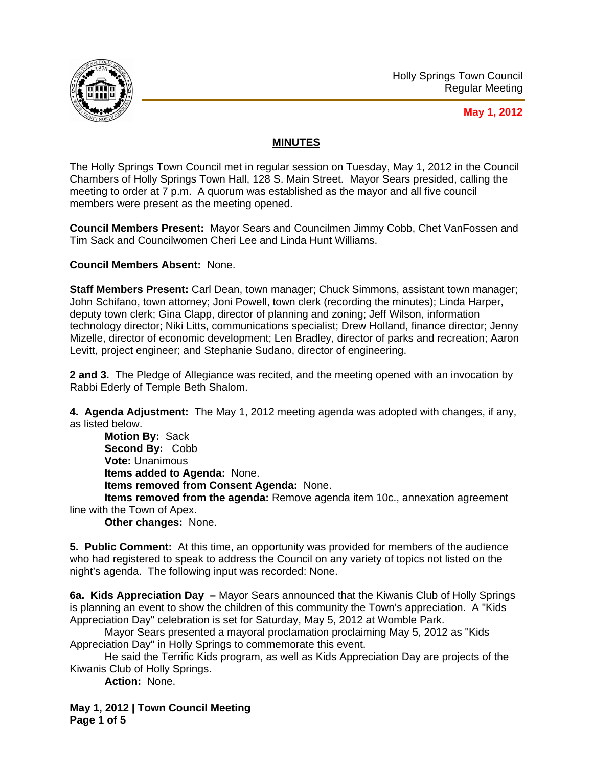

## **May 1, 2012**

## **MINUTES**

The Holly Springs Town Council met in regular session on Tuesday, May 1, 2012 in the Council Chambers of Holly Springs Town Hall, 128 S. Main Street. Mayor Sears presided, calling the meeting to order at 7 p.m. A quorum was established as the mayor and all five council members were present as the meeting opened.

**Council Members Present:** Mayor Sears and Councilmen Jimmy Cobb, Chet VanFossen and Tim Sack and Councilwomen Cheri Lee and Linda Hunt Williams.

**Council Members Absent:** None.

**Staff Members Present:** Carl Dean, town manager; Chuck Simmons, assistant town manager; John Schifano, town attorney; Joni Powell, town clerk (recording the minutes); Linda Harper, deputy town clerk; Gina Clapp, director of planning and zoning; Jeff Wilson, information technology director; Niki Litts, communications specialist; Drew Holland, finance director; Jenny Mizelle, director of economic development; Len Bradley, director of parks and recreation; Aaron Levitt, project engineer; and Stephanie Sudano, director of engineering.

**2 and 3.** The Pledge of Allegiance was recited, and the meeting opened with an invocation by Rabbi Ederly of Temple Beth Shalom.

**4. Agenda Adjustment:** The May 1, 2012 meeting agenda was adopted with changes, if any, as listed below.

**Motion By:** Sack **Second By:** Cobb **Vote:** Unanimous **Items added to Agenda:** None. **Items removed from Consent Agenda:** None.

**Items removed from the agenda:** Remove agenda item 10c., annexation agreement line with the Town of Apex.

**Other changes:** None.

**5. Public Comment:** At this time, an opportunity was provided for members of the audience who had registered to speak to address the Council on any variety of topics not listed on the night's agenda. The following input was recorded: None.

**6a. Kids Appreciation Day –** Mayor Sears announced that the Kiwanis Club of Holly Springs is planning an event to show the children of this community the Town's appreciation. A "Kids Appreciation Day" celebration is set for Saturday, May 5, 2012 at Womble Park.

 Mayor Sears presented a mayoral proclamation proclaiming May 5, 2012 as "Kids Appreciation Day" in Holly Springs to commemorate this event.

 He said the Terrific Kids program, as well as Kids Appreciation Day are projects of the Kiwanis Club of Holly Springs.

**Action:** None.

**May 1, 2012 | Town Council Meeting Page 1 of 5**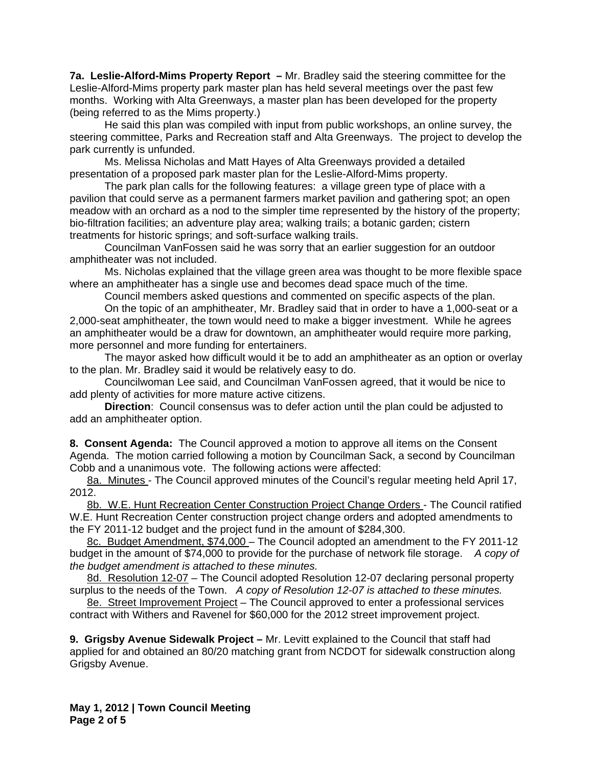**7a. Leslie-Alford-Mims Property Report –** Mr. Bradley said the steering committee for the Leslie-Alford-Mims property park master plan has held several meetings over the past few months. Working with Alta Greenways, a master plan has been developed for the property (being referred to as the Mims property.)

He said this plan was compiled with input from public workshops, an online survey, the steering committee, Parks and Recreation staff and Alta Greenways. The project to develop the park currently is unfunded.

Ms. Melissa Nicholas and Matt Hayes of Alta Greenways provided a detailed presentation of a proposed park master plan for the Leslie-Alford-Mims property.

The park plan calls for the following features: a village green type of place with a pavilion that could serve as a permanent farmers market pavilion and gathering spot; an open meadow with an orchard as a nod to the simpler time represented by the history of the property; bio-filtration facilities; an adventure play area; walking trails; a botanic garden; cistern treatments for historic springs; and soft-surface walking trails.

Councilman VanFossen said he was sorry that an earlier suggestion for an outdoor amphitheater was not included.

Ms. Nicholas explained that the village green area was thought to be more flexible space where an amphitheater has a single use and becomes dead space much of the time.

Council members asked questions and commented on specific aspects of the plan. On the topic of an amphitheater, Mr. Bradley said that in order to have a 1,000-seat or a 2,000-seat amphitheater, the town would need to make a bigger investment. While he agrees an amphitheater would be a draw for downtown, an amphitheater would require more parking, more personnel and more funding for entertainers.

The mayor asked how difficult would it be to add an amphitheater as an option or overlay to the plan. Mr. Bradley said it would be relatively easy to do.

Councilwoman Lee said, and Councilman VanFossen agreed, that it would be nice to add plenty of activities for more mature active citizens.

**Direction**: Council consensus was to defer action until the plan could be adjusted to add an amphitheater option.

**8. Consent Agenda:** The Council approved a motion to approve all items on the Consent Agenda. The motion carried following a motion by Councilman Sack, a second by Councilman Cobb and a unanimous vote. The following actions were affected:

8a. Minutes - The Council approved minutes of the Council's regular meeting held April 17, 2012.

8b. W.E. Hunt Recreation Center Construction Project Change Orders - The Council ratified W.E. Hunt Recreation Center construction project change orders and adopted amendments to the FY 2011-12 budget and the project fund in the amount of \$284,300.

8c. Budget Amendment, \$74,000 - The Council adopted an amendment to the FY 2011-12 budget in the amount of \$74,000 to provide for the purchase of network file storage. *A copy of the budget amendment is attached to these minutes.* 

8d. Resolution 12-07 - The Council adopted Resolution 12-07 declaring personal property surplus to the needs of the Town. *A copy of Resolution 12-07 is attached to these minutes.*

8e. Street Improvement Project - The Council approved to enter a professional services contract with Withers and Ravenel for \$60,000 for the 2012 street improvement project.

**9. Grigsby Avenue Sidewalk Project –** Mr. Levitt explained to the Council that staff had applied for and obtained an 80/20 matching grant from NCDOT for sidewalk construction along Grigsby Avenue.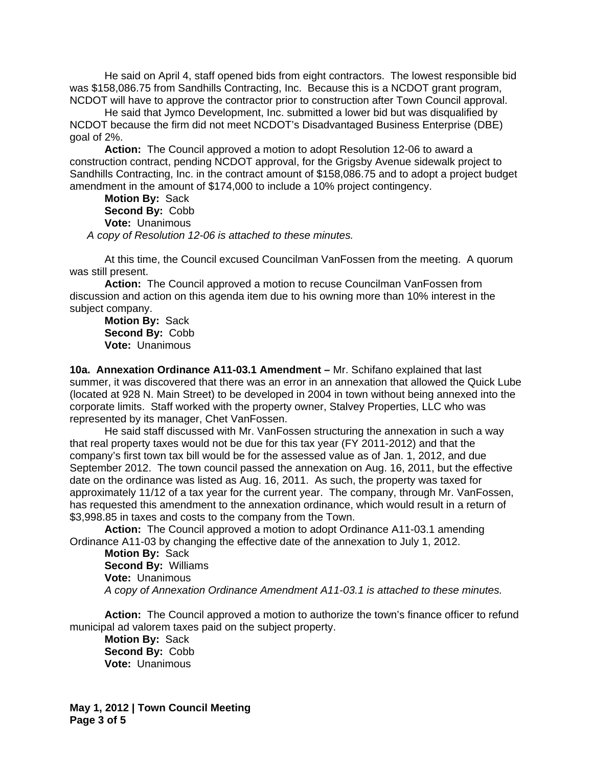He said on April 4, staff opened bids from eight contractors. The lowest responsible bid was \$158,086.75 from Sandhills Contracting, Inc. Because this is a NCDOT grant program, NCDOT will have to approve the contractor prior to construction after Town Council approval.

 He said that Jymco Development, Inc. submitted a lower bid but was disqualified by NCDOT because the firm did not meet NCDOT's Disadvantaged Business Enterprise (DBE) goal of 2%.

**Action:** The Council approved a motion to adopt Resolution 12-06 to award a construction contract, pending NCDOT approval, for the Grigsby Avenue sidewalk project to Sandhills Contracting, Inc. in the contract amount of \$158,086.75 and to adopt a project budget amendment in the amount of \$174,000 to include a 10% project contingency.

**Motion By:** Sack **Second By:** Cobb **Vote:** Unanimous *A copy of Resolution 12-06 is attached to these minutes.*

At this time, the Council excused Councilman VanFossen from the meeting. A quorum was still present.

**Action:** The Council approved a motion to recuse Councilman VanFossen from discussion and action on this agenda item due to his owning more than 10% interest in the subject company.

**Motion By:** Sack **Second By:** Cobb **Vote:** Unanimous

**10a. Annexation Ordinance A11-03.1 Amendment –** Mr. Schifano explained that last summer, it was discovered that there was an error in an annexation that allowed the Quick Lube (located at 928 N. Main Street) to be developed in 2004 in town without being annexed into the corporate limits. Staff worked with the property owner, Stalvey Properties, LLC who was represented by its manager, Chet VanFossen.

He said staff discussed with Mr. VanFossen structuring the annexation in such a way that real property taxes would not be due for this tax year (FY 2011-2012) and that the company's first town tax bill would be for the assessed value as of Jan. 1, 2012, and due September 2012. The town council passed the annexation on Aug. 16, 2011, but the effective date on the ordinance was listed as Aug. 16, 2011. As such, the property was taxed for approximately 11/12 of a tax year for the current year. The company, through Mr. VanFossen, has requested this amendment to the annexation ordinance, which would result in a return of \$3,998.85 in taxes and costs to the company from the Town.

**Action:** The Council approved a motion to adopt Ordinance A11-03.1 amending Ordinance A11-03 by changing the effective date of the annexation to July 1, 2012.

**Motion By:** Sack **Second By:** Williams **Vote:** Unanimous *A copy of Annexation Ordinance Amendment A11-03.1 is attached to these minutes.*

**Action:** The Council approved a motion to authorize the town's finance officer to refund municipal ad valorem taxes paid on the subject property.

**Motion By:** Sack **Second By:** Cobb **Vote:** Unanimous

**May 1, 2012 | Town Council Meeting Page 3 of 5**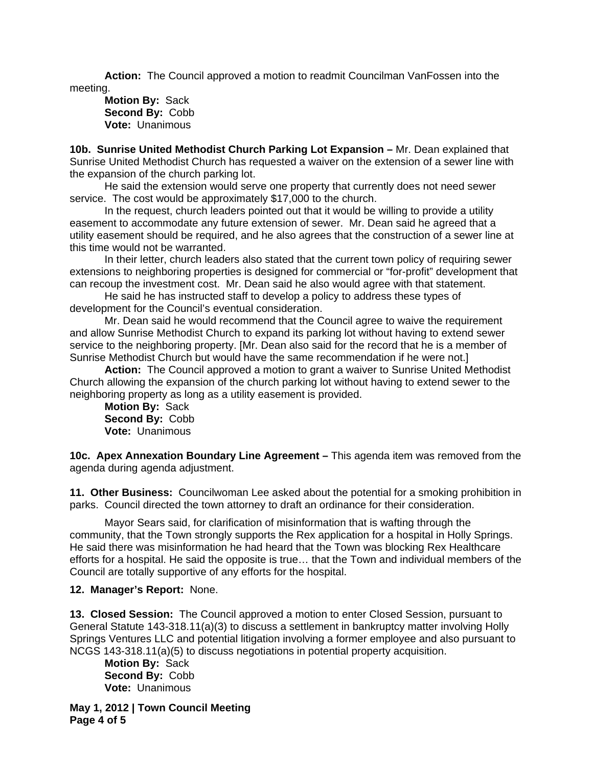**Action:** The Council approved a motion to readmit Councilman VanFossen into the meeting.

**Motion By:** Sack **Second By:** Cobb **Vote:** Unanimous

**10b. Sunrise United Methodist Church Parking Lot Expansion –** Mr. Dean explained that Sunrise United Methodist Church has requested a waiver on the extension of a sewer line with the expansion of the church parking lot.

He said the extension would serve one property that currently does not need sewer service. The cost would be approximately \$17,000 to the church.

In the request, church leaders pointed out that it would be willing to provide a utility easement to accommodate any future extension of sewer. Mr. Dean said he agreed that a utility easement should be required, and he also agrees that the construction of a sewer line at this time would not be warranted.

In their letter, church leaders also stated that the current town policy of requiring sewer extensions to neighboring properties is designed for commercial or "for-profit" development that can recoup the investment cost. Mr. Dean said he also would agree with that statement.

He said he has instructed staff to develop a policy to address these types of development for the Council's eventual consideration.

Mr. Dean said he would recommend that the Council agree to waive the requirement and allow Sunrise Methodist Church to expand its parking lot without having to extend sewer service to the neighboring property. [Mr. Dean also said for the record that he is a member of Sunrise Methodist Church but would have the same recommendation if he were not.]

**Action:** The Council approved a motion to grant a waiver to Sunrise United Methodist Church allowing the expansion of the church parking lot without having to extend sewer to the neighboring property as long as a utility easement is provided.

**Motion By:** Sack **Second By:** Cobb **Vote:** Unanimous

**10c. Apex Annexation Boundary Line Agreement –** This agenda item was removed from the agenda during agenda adjustment.

**11. Other Business:** Councilwoman Lee asked about the potential for a smoking prohibition in parks. Council directed the town attorney to draft an ordinance for their consideration.

 Mayor Sears said, for clarification of misinformation that is wafting through the community, that the Town strongly supports the Rex application for a hospital in Holly Springs. He said there was misinformation he had heard that the Town was blocking Rex Healthcare efforts for a hospital. He said the opposite is true… that the Town and individual members of the Council are totally supportive of any efforts for the hospital.

## **12. Manager's Report:** None.

**13. Closed Session:** The Council approved a motion to enter Closed Session, pursuant to General Statute 143-318.11(a)(3) to discuss a settlement in bankruptcy matter involving Holly Springs Ventures LLC and potential litigation involving a former employee and also pursuant to NCGS 143-318.11(a)(5) to discuss negotiations in potential property acquisition.

**Motion By:** Sack **Second By:** Cobb **Vote:** Unanimous

**May 1, 2012 | Town Council Meeting Page 4 of 5**